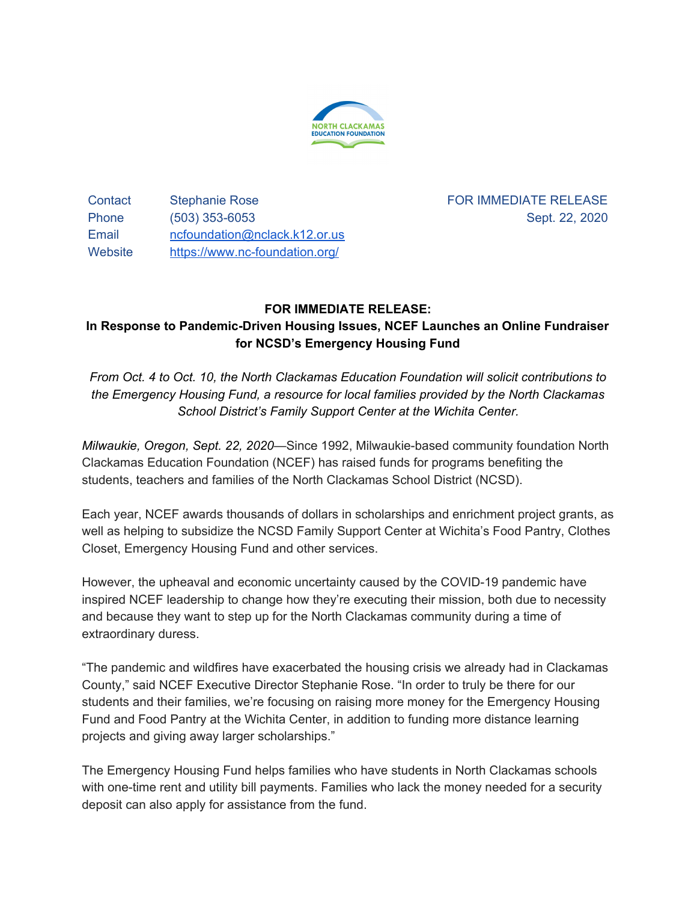

Contact Stephanie Rose Phone (503) 353-6053 Email [ncfoundation@nclack.k12.or.us](mailto:ncfoundation@nclack.k12.or.us) Website <https://www.nc-foundation.org/>

FOR IMMEDIATE RELEASE Sept. 22, 2020

## **FOR IMMEDIATE RELEASE:**

## **In Response to Pandemic-Driven Housing Issues, NCEF Launches an Online Fundraiser for NCSD's Emergency Housing Fund**

*From Oct. 4 to Oct. 10, the North Clackamas Education Foundation will solicit contributions to the Emergency Housing Fund, a resource for local families provided by the North Clackamas School District's Family Support Center at the Wichita Center.*

*Milwaukie, Oregon, Sept. 22, 2020*—Since 1992, Milwaukie-based community foundation North Clackamas Education Foundation (NCEF) has raised funds for programs benefiting the students, teachers and families of the North Clackamas School District (NCSD).

Each year, NCEF awards thousands of dollars in scholarships and enrichment project grants, as well as helping to subsidize the NCSD Family Support Center at Wichita's Food Pantry, Clothes Closet, Emergency Housing Fund and other services.

However, the upheaval and economic uncertainty caused by the COVID-19 pandemic have inspired NCEF leadership to change how they're executing their mission, both due to necessity and because they want to step up for the North Clackamas community during a time of extraordinary duress.

"The pandemic and wildfires have exacerbated the housing crisis we already had in Clackamas County," said NCEF Executive Director Stephanie Rose. "In order to truly be there for our students and their families, we're focusing on raising more money for the Emergency Housing Fund and Food Pantry at the Wichita Center, in addition to funding more distance learning projects and giving away larger scholarships."

The Emergency Housing Fund helps families who have students in North Clackamas schools with one-time rent and utility bill payments. Families who lack the money needed for a security deposit can also apply for assistance from the fund.